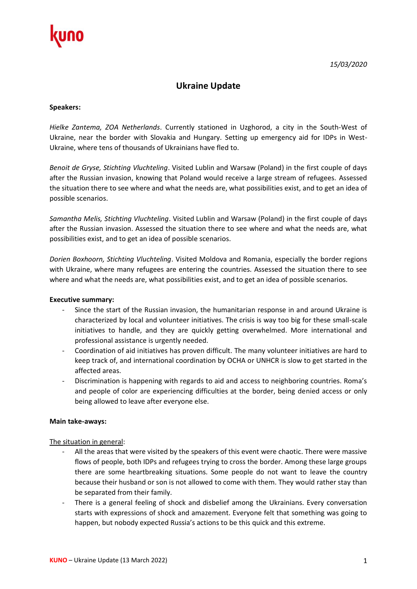

# **Ukraine Update**

#### **Speakers:**

*Hielke Zantema, ZOA Netherlands*. Currently stationed in Uzghorod, a city in the South-West of Ukraine, near the border with Slovakia and Hungary. Setting up emergency aid for IDPs in West-Ukraine, where tens of thousands of Ukrainians have fled to.

*Benoit de Gryse, Stichting Vluchteling*. Visited Lublin and Warsaw (Poland) in the first couple of days after the Russian invasion, knowing that Poland would receive a large stream of refugees. Assessed the situation there to see where and what the needs are, what possibilities exist, and to get an idea of possible scenarios.

*Samantha Melis, Stichting Vluchteling*. Visited Lublin and Warsaw (Poland) in the first couple of days after the Russian invasion. Assessed the situation there to see where and what the needs are, what possibilities exist, and to get an idea of possible scenarios.

*Dorien Boxhoorn, Stichting Vluchteling*. Visited Moldova and Romania, especially the border regions with Ukraine, where many refugees are entering the countries. Assessed the situation there to see where and what the needs are, what possibilities exist, and to get an idea of possible scenarios.

#### **Executive summary:**

- Since the start of the Russian invasion, the humanitarian response in and around Ukraine is characterized by local and volunteer initiatives. The crisis is way too big for these small-scale initiatives to handle, and they are quickly getting overwhelmed. More international and professional assistance is urgently needed.
- Coordination of aid initiatives has proven difficult. The many volunteer initiatives are hard to keep track of, and international coordination by OCHA or UNHCR is slow to get started in the affected areas.
- Discrimination is happening with regards to aid and access to neighboring countries. Roma's and people of color are experiencing difficulties at the border, being denied access or only being allowed to leave after everyone else.

#### **Main take-aways:**

#### The situation in general:

- All the areas that were visited by the speakers of this event were chaotic. There were massive flows of people, both IDPs and refugees trying to cross the border. Among these large groups there are some heartbreaking situations. Some people do not want to leave the country because their husband or son is not allowed to come with them. They would rather stay than be separated from their family.
- There is a general feeling of shock and disbelief among the Ukrainians. Every conversation starts with expressions of shock and amazement. Everyone felt that something was going to happen, but nobody expected Russia's actions to be this quick and this extreme.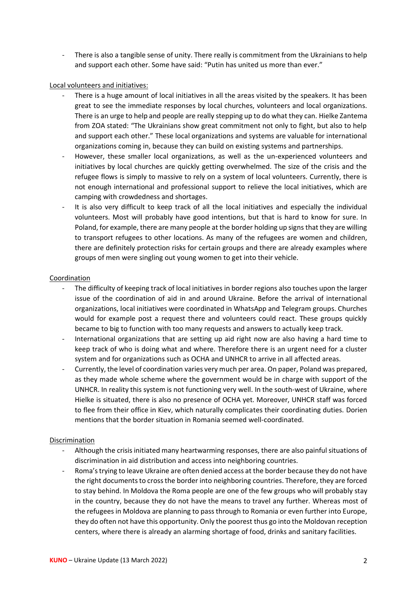- There is also a tangible sense of unity. There really is commitment from the Ukrainians to help and support each other. Some have said: "Putin has united us more than ever."

## Local volunteers and initiatives:

- There is a huge amount of local initiatives in all the areas visited by the speakers. It has been great to see the immediate responses by local churches, volunteers and local organizations. There is an urge to help and people are really stepping up to do what they can. Hielke Zantema from ZOA stated: "The Ukrainians show great commitment not only to fight, but also to help and support each other." These local organizations and systems are valuable for international organizations coming in, because they can build on existing systems and partnerships.
- However, these smaller local organizations, as well as the un-experienced volunteers and initiatives by local churches are quickly getting overwhelmed. The size of the crisis and the refugee flows is simply to massive to rely on a system of local volunteers. Currently, there is not enough international and professional support to relieve the local initiatives, which are camping with crowdedness and shortages.
- It is also very difficult to keep track of all the local initiatives and especially the individual volunteers. Most will probably have good intentions, but that is hard to know for sure. In Poland, for example, there are many people at the border holding up signs that they are willing to transport refugees to other locations. As many of the refugees are women and children, there are definitely protection risks for certain groups and there are already examples where groups of men were singling out young women to get into their vehicle.

## Coordination

- The difficulty of keeping track of local initiatives in border regions also touches upon the larger issue of the coordination of aid in and around Ukraine. Before the arrival of international organizations, local initiatives were coordinated in WhatsApp and Telegram groups. Churches would for example post a request there and volunteers could react. These groups quickly became to big to function with too many requests and answers to actually keep track.
- International organizations that are setting up aid right now are also having a hard time to keep track of who is doing what and where. Therefore there is an urgent need for a cluster system and for organizations such as OCHA and UNHCR to arrive in all affected areas.
- Currently, the level of coordination varies very much per area. On paper, Poland was prepared, as they made whole scheme where the government would be in charge with support of the UNHCR. In reality this system is not functioning very well. In the south-west of Ukraine, where Hielke is situated, there is also no presence of OCHA yet. Moreover, UNHCR staff was forced to flee from their office in Kiev, which naturally complicates their coordinating duties. Dorien mentions that the border situation in Romania seemed well-coordinated.

## Discrimination

- Although the crisis initiated many heartwarming responses, there are also painful situations of discrimination in aid distribution and access into neighboring countries.
- Roma's trying to leave Ukraine are often denied access at the border because they do not have the right documents to cross the border into neighboring countries. Therefore, they are forced to stay behind. In Moldova the Roma people are one of the few groups who will probably stay in the country, because they do not have the means to travel any further. Whereas most of the refugees in Moldova are planning to pass through to Romania or even further into Europe, they do often not have this opportunity. Only the poorest thus go into the Moldovan reception centers, where there is already an alarming shortage of food, drinks and sanitary facilities.